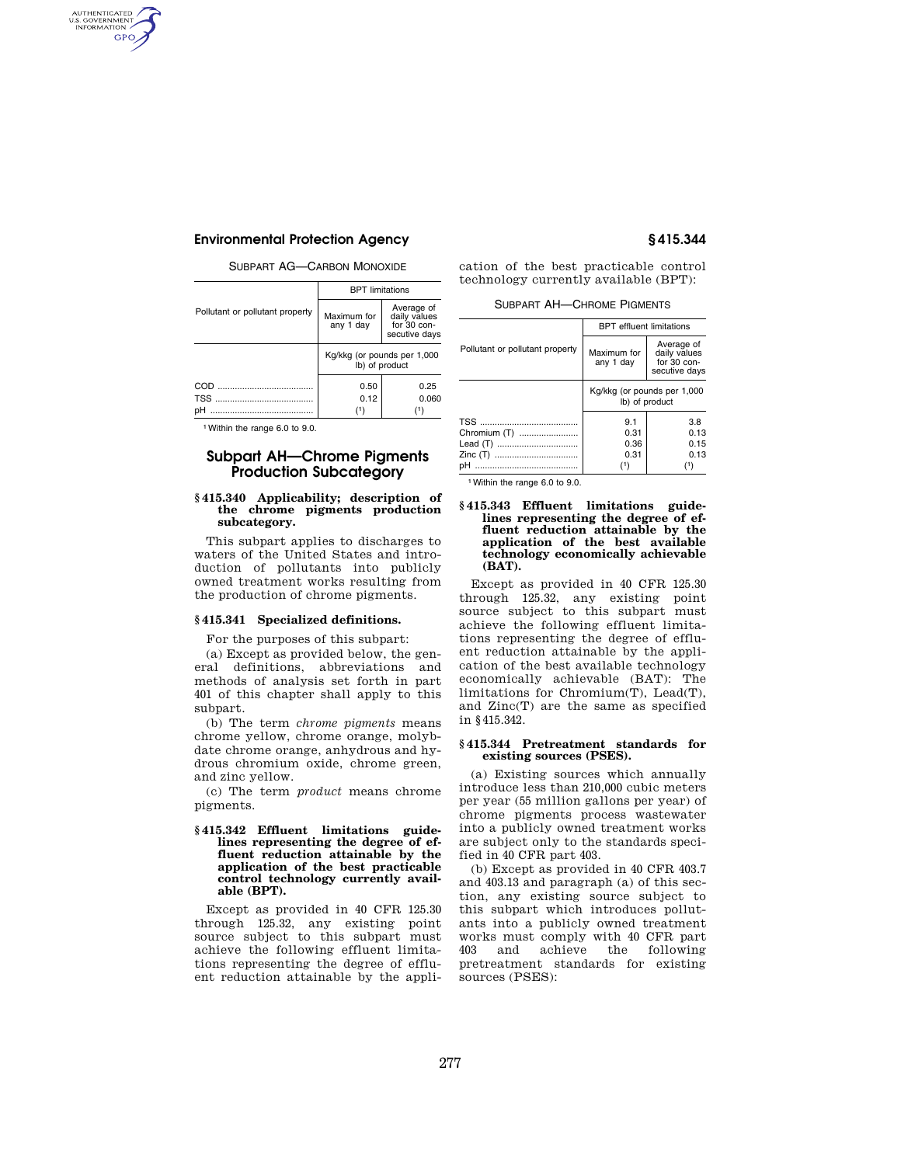AUTHENTICATED<br>U.S. GOVERNMENT<br>INFORMATION GPO

# **Environmental Protection Agency § 415.344**

SUBPART AG—CARBON MONOXIDE

|                                 | <b>BPT limitations</b>                        |                                                            |
|---------------------------------|-----------------------------------------------|------------------------------------------------------------|
| Pollutant or pollutant property | Maximum for<br>any 1 day                      | Average of<br>daily values<br>for 30 con-<br>secutive days |
|                                 | Kg/kkg (or pounds per 1,000<br>lb) of product |                                                            |
| COD<br>                         | 0.50<br>0.12<br>(1)                           | 0.25<br>0.060                                              |

1Within the range 6.0 to 9.0.

# **Subpart AH—Chrome Pigments Production Subcategory**

## **§ 415.340 Applicability; description of the chrome pigments production subcategory.**

This subpart applies to discharges to waters of the United States and introduction of pollutants into publicly owned treatment works resulting from the production of chrome pigments.

## **§ 415.341 Specialized definitions.**

For the purposes of this subpart:

(a) Except as provided below, the general definitions, abbreviations and methods of analysis set forth in part 401 of this chapter shall apply to this subpart.

(b) The term *chrome pigments* means chrome yellow, chrome orange, molybdate chrome orange, anhydrous and hydrous chromium oxide, chrome green, and zinc yellow.

(c) The term *product* means chrome pigments.

### **§ 415.342 Effluent limitations guidelines representing the degree of effluent reduction attainable by the application of the best practicable control technology currently available (BPT).**

Except as provided in 40 CFR 125.30 through 125.32, any existing point source subject to this subpart must achieve the following effluent limitations representing the degree of effluent reduction attainable by the appli-

cation of the best practicable control technology currently available (BPT):

SUBPART AH—CHROME PIGMENTS

|                                 | <b>BPT</b> effluent limitations               |                                                            |
|---------------------------------|-----------------------------------------------|------------------------------------------------------------|
| Pollutant or pollutant property | Maximum for<br>any 1 day                      | Average of<br>daily values<br>for 30 con-<br>secutive days |
|                                 | Kg/kkg (or pounds per 1,000<br>lb) of product |                                                            |
|                                 | 9.1                                           | 3.8                                                        |
| Chromium (T)                    | 0.31                                          | 0.13                                                       |
|                                 | 0.36                                          | 0.15                                                       |
|                                 | 0.31                                          | 0.13                                                       |
| pН                              | (1)                                           | (1)                                                        |

1Within the range 6.0 to 9.0.

**§ 415.343 Effluent limitations guidelines representing the degree of effluent reduction attainable by the application of the best available technology economically achievable (BAT).** 

Except as provided in 40 CFR 125.30 through 125.32, any existing point source subject to this subpart must achieve the following effluent limitations representing the degree of effluent reduction attainable by the application of the best available technology economically achievable (BAT): The limitations for Chromium(T), Lead(T), and Zinc(T) are the same as specified in §415.342.

## **§ 415.344 Pretreatment standards for existing sources (PSES).**

(a) Existing sources which annually introduce less than 210,000 cubic meters per year (55 million gallons per year) of chrome pigments process wastewater into a publicly owned treatment works are subject only to the standards specified in 40 CFR part 403.

(b) Except as provided in 40 CFR 403.7 and 403.13 and paragraph (a) of this section, any existing source subject to this subpart which introduces pollutants into a publicly owned treatment works must comply with 40 CFR part 403 and achieve the following pretreatment standards for existing sources (PSES):